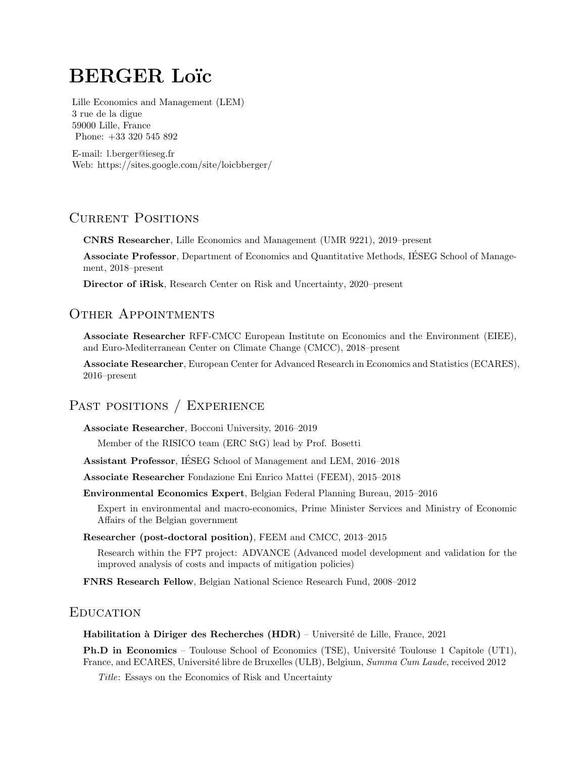# **BERGER Loïc**

Lille Economics and Management (LEM) 3 rue de la digue 59000 Lille, France Phone: +33 320 545 892

E-mail: [l.berger@ieseg.fr](mailto:l.berger@ieseg.fr) Web: <https://sites.google.com/site/loicbberger/>

# CURRENT POSITIONS

CNRS Researcher, Lille Economics and Management (UMR 9221), 2019–present

Associate Professor, Department of Economics and Quantitative Methods, IESEG School of Management, 2018–present

Director of iRisk[,](https://irisk.ieseg.fr/) Research Center on Risk and Uncertainty, 2020–present

# OTHER APPOINTMENTS

Associate Researcher RFF-CMCC European Institute on Economics and the Environment (EIEE), and Euro-Mediterranean Center on Climate Change (CMCC), 2018–present

Associate Researcher, European Center for Advanced Research in Economics and Statistics (ECARES), 2016–present

# PAST POSITIONS / EXPERIENCE

Associate Researcher, Bocconi University, 2016–2019

Member of the RISICO team (ERC StG) lead by Prof. Bosetti

Assistant Professor, IESEG School of Management and LEM, 2016–2018 ´

Associate Researcher Fondazione Eni Enrico Mattei (FEEM), 2015–2018

Environmental Economics Expert, Belgian Federal Planning Bureau, 2015–2016

Expert in environmental and macro-economics, Prime Minister Services and Ministry of Economic Affairs of the Belgian government

### Researcher (post-doctoral position), FEEM and CMCC, 2013–2015

Research within the FP7 project: ADVANCE (Advanced model development and validation for the improved analysis of costs and impacts of mitigation policies)

FNRS Research Fellow, Belgian National Science Research Fund, 2008–2012

# **EDUCATION**

**Habilitation à Diriger des Recherches (HDR)** – Université de Lille, France,  $2021$ 

**Ph.D in Economics** – Toulouse School of Economics (TSE), Université Toulouse 1 Capitole (UT1), France, and ECARES, Université libre de Bruxelles (ULB), Belgium, Summa Cum Laude, received 2012

Title: Essays on the Economics of Risk and Uncertainty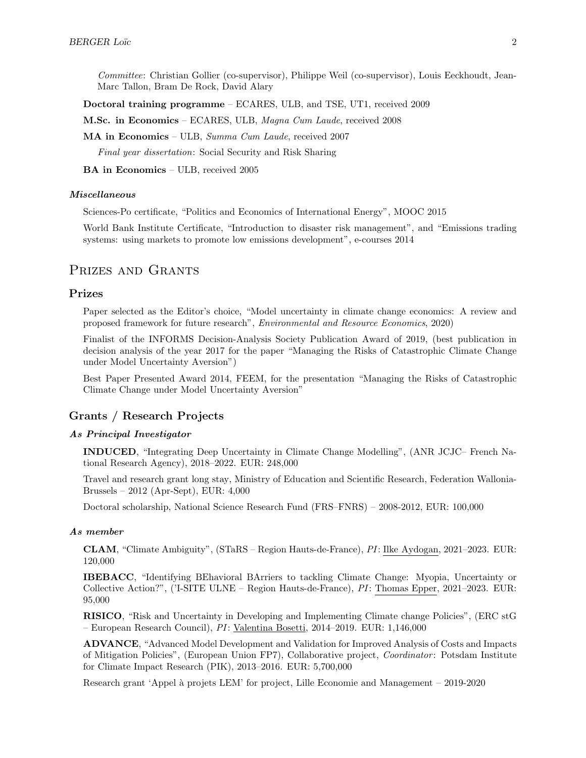Committee: Christian Gollier (co-supervisor), Philippe Weil (co-supervisor), Louis Eeckhoudt, Jean-Marc Tallon, Bram De Rock, David Alary

Doctoral training programme – ECARES, ULB, and TSE, UT1, received 2009

M.Sc. in Economics – ECARES, ULB, Magna Cum Laude, received 2008

MA in Economics – ULB, Summa Cum Laude, received 2007

Final year dissertation: Social Security and Risk Sharing

BA in Economics – ULB, received 2005

#### Miscellaneous

Sciences-Po certificate, "Politics and Economics of International Energy", MOOC 2015

World Bank Institute Certificate, "Introduction to disaster risk management", and "Emissions trading systems: using markets to promote low emissions development", e-courses 2014

# PRIZES AND GRANTS

### Prizes

Paper selected as the Editor's choice, "Model uncertainty in climate change economics: A review and proposed framework for future research", Environmental and Resource Economics, 2020)

Finalist of the INFORMS Decision-Analysis Society Publication Award of 2019, (best publication in decision analysis of the year 2017 for the paper "Managing the Risks of Catastrophic Climate Change under Model Uncertainty Aversion")

Best Paper Presented Award 2014, FEEM, for the presentation "Managing the Risks of Catastrophic Climate Change under Model Uncertainty Aversion"

# Grants / Research Projects

#### As Principal Investigator

INDUCED, "Integrating Deep Uncertainty in Climate Change Modelling", (ANR JCJC– French National Research Agency), 2018–2022. EUR: 248,000

Travel and research grant long stay, Ministry of Education and Scientific Research, Federation Wallonia-Brussels – 2012 (Apr-Sept), EUR: 4,000

Doctoral scholarship, National Science Research Fund (FRS–FNRS) – 2008-2012, EUR: 100,000

#### As member

CLAM, "Climate Ambiguity", (STaRS – Region Hauts-de-France), PI: Ilke Aydogan, 2021–2023. EUR: 120,000

IBEBACC, "Identifying BEhavioral BArriers to tackling Climate Change: Myopia, Uncertainty or Collective Action?", ('I-SITE ULNE – Region Hauts-de-France), PI: Thomas Epper, 2021–2023. EUR: 95,000

RISICO, "Risk and Uncertainty in Developing and Implementing Climate change Policies", (ERC stG – European Research Council), PI: Valentina Bosetti, 2014–2019. EUR: 1,146,000

ADVANCE, "Advanced Model Development and Validation for Improved Analysis of Costs and Impacts of Mitigation Policies", (European Union FP7), Collaborative project, Coordinator: Potsdam Institute for Climate Impact Research (PIK), 2013–2016. EUR: 5,700,000

Research grant 'Appel à projets LEM' for project, Lille Economie and Management – 2019-2020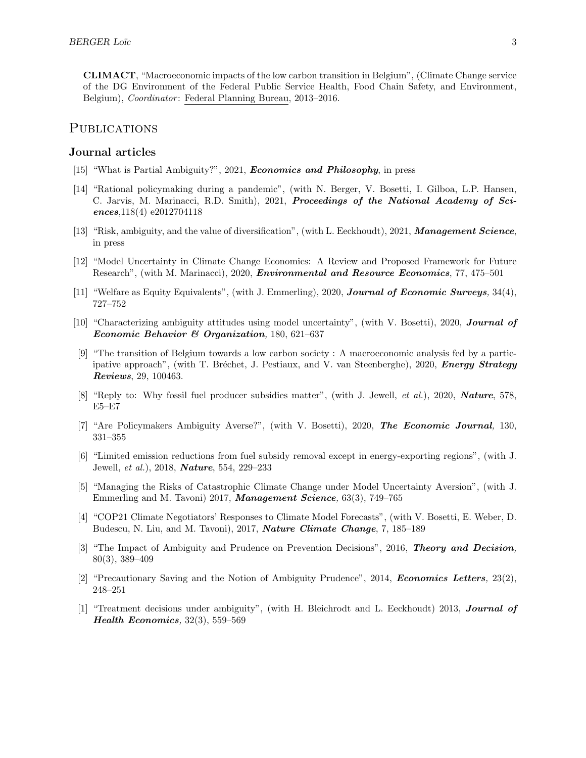CLIMACT, "Macroeconomic impacts of the low carbon transition in Belgium", (Climate Change service of the DG Environment of the Federal Public Service Health, Food Chain Safety, and Environment, Belgium), *Coordinator*: Federal Planning Bureau, 2013–2016.

# **PUBLICATIONS**

# Journal articles

- [15] ["What is Partial Ambiguity?",](https://www.doi.org/10.1017/S0266267121000080) 2021, Economics and Philosophy, in press
- [14] ["Rational policymaking during a pandemic",](https://www.pnas.org/content/118/4/e2012704118) (with N. Berger, V. Bosetti, I. Gilboa, L.P. Hansen, C. Jarvis, M. Marinacci, R.D. Smith), 2021, Proceedings of the National Academy of Sciences,118(4) e2012704118
- [13] ["Risk, ambiguity, and the value of diversification",](https://pubsonline.informs.org/doi/abs/10.1287/mnsc.2020.3823) (with L. Eeckhoudt), 2021, Management Science, in press
- [12] ["Model Uncertainty in Climate Change Economics: A Review and Proposed Framework for Future](https://doi.org/10.1007/s10640-020-00503-3) [Research",](https://doi.org/10.1007/s10640-020-00503-3) (with M. Marinacci), 2020, *Environmental and Resource Economics*, 77, 475–501
- [11] ["Welfare as Equity Equivalents",](https://doi.org/10.1111/joes.12368) (with J. Emmerling), 2020, Journal of Economic Surveys, 34(4), 727–752
- [10] ["Characterizing ambiguity attitudes using model uncertainty",](https://doi.org/10.1016/j.jebo.2020.02.014) (with V. Bosetti), 2020, Journal of Economic Behavior & Organization, 180, 621–637
- [9] ["The transition of Belgium towards a low carbon society : A macroeconomic analysis fed by a partic](https://doi.org/10.1016/j.esr.2020.100463)[ipative approach",](https://doi.org/10.1016/j.esr.2020.100463) (with T. Bréchet, J. Pestiaux, and V. van Steenberghe), 2020, Energy Strategy Reviews, 29, 100463.
- [8] ["Reply to: Why fossil fuel producer subsidies matter",](https://doi.org/10.1038/s41586-019-1921-9) (with J. Jewell, *et al.*), 2020, **Nature**, 578, E5–E7
- [7] ["Are Policymakers Ambiguity Averse?",](https://doi.org/10.1093/ej/uez051) (with V. Bosetti), 2020, The Economic Journal, 130, 331–355
- [6] ["Limited emission reductions from fuel subsidy removal except in energy-exporting regions",](http://dx.doi.org/10.1038/nature25467) (with J. Jewell, et al.), 2018, Nature, 554, 229–233
- [5] ["Managing the Risks of Catastrophic Climate Change under Model Uncertainty Aversion",](http://dx.doi.org/10.1287/mnsc.2015.2365) (with J. Emmerling and M. Tavoni) 2017, Management Science, 63(3), 749–765
- [4] ["COP21 Climate Negotiators' Responses to Climate Model Forecasts",](http://dx.doi.org/10.1038/nclimate3208) (with V. Bosetti, E. Weber, D. Budescu, N. Liu, and M. Tavoni), 2017, Nature Climate Change, 7, 185–189
- [3] ["The Impact of Ambiguity and Prudence on Prevention Decisions",](http://link.springer.com/article/10.1007/s11238-015-9512-1 ) 2016, Theory and Decision, 80(3), 389–409
- [2] ["Precautionary Saving and the Notion of Ambiguity Prudence",](http://www.sciencedirect.com/science/article/pii/S0165176514000834) 2014, *Economics Letters*,  $23(2)$ , 248–251
- [1] ["Treatment decisions under ambiguity",](http://www.sciencedirect.com/science/article/pii/S0167629613000088) (with H. Bleichrodt and L. Eeckhoudt) 2013, **Journal of** Health Economics, 32(3), 559–569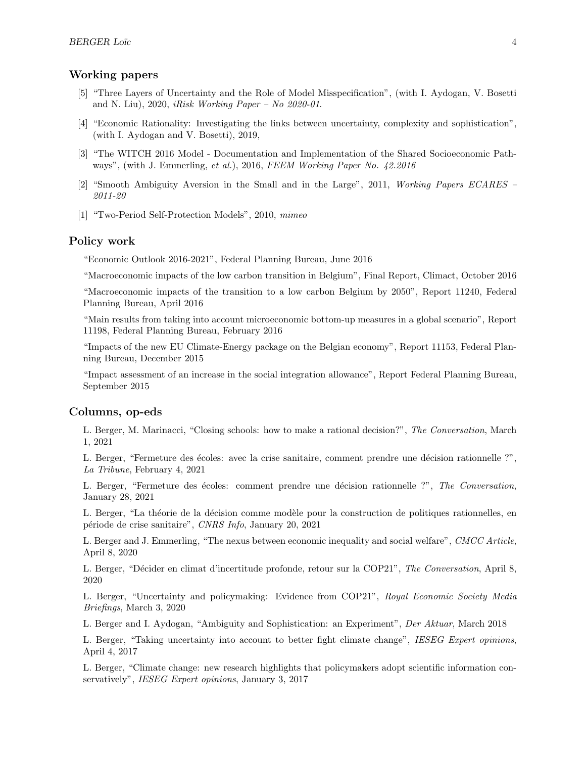# Working papers

- [5] ["Three Layers of Uncertainty and the Role of Model Misspecification",](https://www.ieseg.fr/wp-content/uploads/2020/11/2020-iRisk-01.pdf) (with I. Aydogan, V. Bosetti and N. Liu), 2020, iRisk Working Paper – No  $2020-01$ .
- [4] "Economic Rationality: Investigating the links between uncertainty, complexity and sophistication", (with I. Aydogan and V. Bosetti), 2019,
- [3] "The WITCH 2016 Model Documentation and Implementation of the Shared Socioeconomic Pathways", (with J. Emmerling, et al.), 2016, [FEEM Working Paper No. 42.2016](http://www.feem.it/getpage.aspx?id=8521&sez=Publications&padre=73)
- [2] ["Smooth Ambiguity Aversion in the Small and in the Large",](http://ideas.repec.org/p/eca/wpaper/2013-95831.html) 2011, Working Papers ECARES 2011-20
- [1] ["Two-Period Self-Protection Models",](http://loicberger.files.wordpress.com/2011/09/dynamic-si-sp_4-1.pdf) 2010, mimeo

### Policy work

"Economic Outlook 2016-2021", Federal Planning Bureau, June 2016

"Macroeconomic impacts of the low carbon transition in Belgium", Final Report, Climact, October 2016

"Macroeconomic impacts of the transition to a low carbon Belgium by 2050", Report 11240, Federal Planning Bureau, April 2016

"Main results from taking into account microeconomic bottom-up measures in a global scenario", Report 11198, Federal Planning Bureau, February 2016

"Impacts of the new EU Climate-Energy package on the Belgian economy", Report 11153, Federal Planning Bureau, December 2015

"Impact assessment of an increase in the social integration allowance", Report Federal Planning Bureau, September 2015

### Columns, op-eds

L. Berger, M. Marinacci, "Closing schools: how to make a rational decision?", The Conversation, March 1, 2021

L. Berger, "Fermeture des écoles: avec la crise sanitaire, comment prendre une décision rationnelle ?", La Tribune, February 4, 2021

L. Berger, "Fermeture des écoles: comment prendre une décision rationnelle ?", The Conversation, January 28, 2021

L. Berger, "La théorie de la décision comme modèle pour la construction de politiques rationnelles, en p´eriode de crise sanitaire", CNRS Info, January 20, 2021

L. Berger and J. Emmerling, "The nexus between economic inequality and social welfare", CMCC Article, April 8, 2020

L. Berger, "Décider en climat d'incertitude profonde, retour sur la COP21", The Conversation, April 8, 2020

L. Berger, "Uncertainty and policymaking: Evidence from COP21", Royal Economic Society Media Briefings, March 3, 2020

L. Berger and I. Aydogan, "Ambiguity and Sophistication: an Experiment", Der Aktuar, March 2018

L. Berger, "Taking uncertainty into account to better fight climate change", IESEG Expert opinions, April 4, 2017

L. Berger, "Climate change: new research highlights that policymakers adopt scientific information conservatively", IESEG Expert opinions, January 3, 2017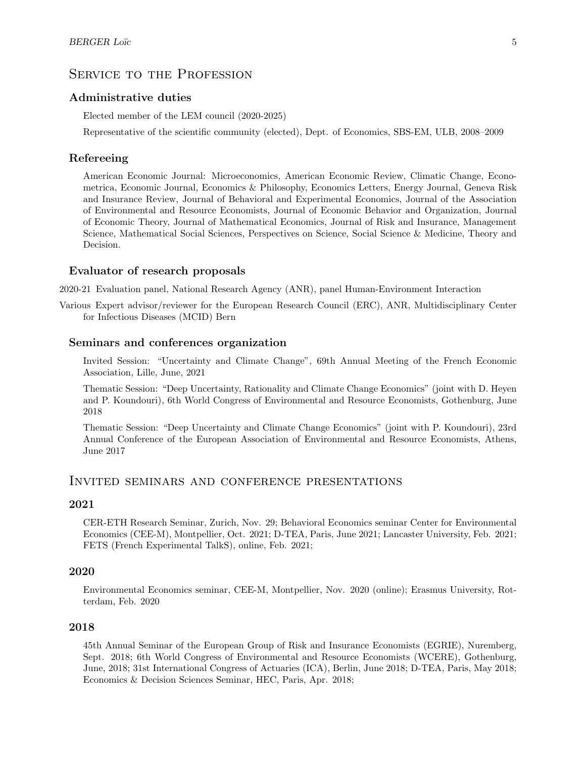# SERVICE TO THE PROFESSION

# Administrative duties

Elected member of the LEM council (2020-2025)

Representative of the scientific community (elected), Dept. of Economics, SBS-EM, ULB, 2008–2009

### Refereeing

American Economic Journal: Microeconomics, American Economic Review, Climatic Change, Econometrica, Economic Journal, Economics & Philosophy, Economics Letters, Energy Journal, Geneva Risk and Insurance Review, Journal of Behavioral and Experimental Economics, Journal of the Association of Environmental and Resource Economists, Journal of Economic Behavior and Organization, Journal of Economic Theory, Journal of Mathematical Economics, Journal of Risk and Insurance, Management Science, Mathematical Social Sciences, Perspectives on Science, Social Science & Medicine, Theory and Decision.

# Evaluator of research proposals

2020-21 Evaluation panel, National Research Agency (ANR), panel Human-Environment Interaction

Various Expert advisor/reviewer for the European Research Council (ERC), ANR, Multidisciplinary Center for Infectious Diseases (MCID) Bern

#### Seminars and conferences organization

Invited Session: "Uncertainty and Climate Change", 69th Annual Meeting of the French Economic Association, Lille, June, 2021

Thematic Session: "Deep Uncertainty, Rationality and Climate Change Economics" (joint with D. Heyen and P. Koundouri), 6th World Congress of Environmental and Resource Economists, Gothenburg, June 2018

Thematic Session: "Deep Uncertainty and Climate Change Economics" (joint with P. Koundouri), 23rd Annual Conference of the European Association of Environmental and Resource Economists, Athens, June 2017

# Invited seminars and conference presentations

#### 2021

CER-ETH Research Seminar, Zurich, Nov. 29; Behavioral Economics seminar Center for Environmental Economics (CEE-M), Montpellier, Oct. 2021; D-TEA, Paris, June 2021; Lancaster University, Feb. 2021; FETS (French Experimental TalkS), online, Feb. 2021;

# 2020

Environmental Economics seminar, CEE-M, Montpellier, Nov. 2020 (online); Erasmus University, Rotterdam, Feb. 2020

#### 2018

45th Annual Seminar of the European Group of Risk and Insurance Economists (EGRIE), Nuremberg, Sept. 2018; 6th World Congress of Environmental and Resource Economists (WCERE), Gothenburg, June, 2018; 31st International Congress of Actuaries (ICA), Berlin, June 2018; D-TEA, Paris, May 2018; Economics & Decision Sciences Seminar, HEC, Paris, Apr. 2018;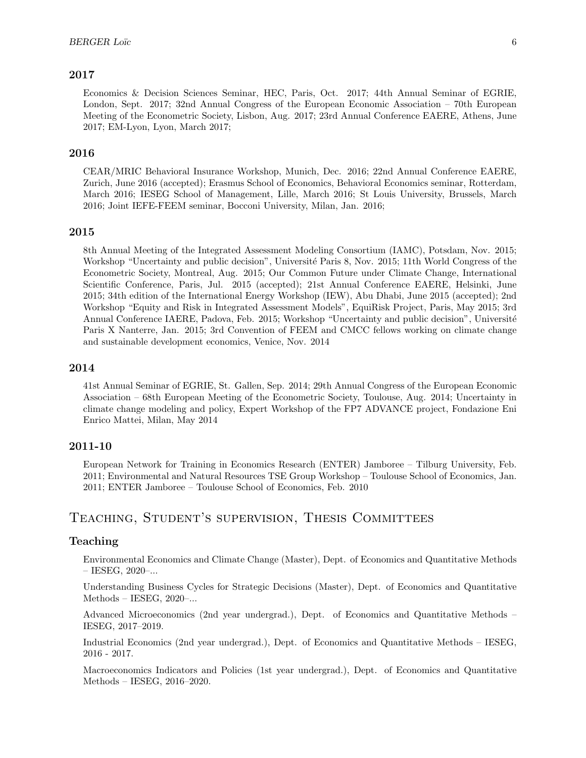# 2017

Economics & Decision Sciences Seminar, HEC, Paris, Oct. 2017; 44th Annual Seminar of EGRIE, London, Sept. 2017; 32nd Annual Congress of the European Economic Association – 70th European Meeting of the Econometric Society, Lisbon, Aug. 2017; 23rd Annual Conference EAERE, Athens, June 2017; EM-Lyon, Lyon, March 2017;

### 2016

CEAR/MRIC Behavioral Insurance Workshop, Munich, Dec. 2016; 22nd Annual Conference EAERE, Zurich, June 2016 (accepted); Erasmus School of Economics, Behavioral Economics seminar, Rotterdam, March 2016; IESEG School of Management, Lille, March 2016; St Louis University, Brussels, March 2016; Joint IEFE-FEEM seminar, Bocconi University, Milan, Jan. 2016;

#### 2015

8th Annual Meeting of the Integrated Assessment Modeling Consortium (IAMC), Potsdam, Nov. 2015; Workshop "Uncertainty and public decision", Université Paris 8, Nov. 2015; 11th World Congress of the Econometric Society, Montreal, Aug. 2015; Our Common Future under Climate Change, International Scientific Conference, Paris, Jul. 2015 (accepted); 21st Annual Conference EAERE, Helsinki, June 2015; 34th edition of the International Energy Workshop (IEW), Abu Dhabi, June 2015 (accepted); 2nd Workshop "Equity and Risk in Integrated Assessment Models", EquiRisk Project, Paris, May 2015; 3rd Annual Conference IAERE, Padova, Feb. 2015; Workshop "Uncertainty and public decision", Université Paris X Nanterre, Jan. 2015; 3rd Convention of FEEM and CMCC fellows working on climate change and sustainable development economics, Venice, Nov. 2014

# 2014

41st Annual Seminar of EGRIE, St. Gallen, Sep. 2014; 29th Annual Congress of the European Economic Association – 68th European Meeting of the Econometric Society, Toulouse, Aug. 2014; Uncertainty in climate change modeling and policy, Expert Workshop of the FP7 ADVANCE project, Fondazione Eni Enrico Mattei, Milan, May 2014

### 2011-10

European Network for Training in Economics Research (ENTER) Jamboree – Tilburg University, Feb. 2011; Environmental and Natural Resources TSE Group Workshop – Toulouse School of Economics, Jan. 2011; ENTER Jamboree – Toulouse School of Economics, Feb. 2010

# Teaching, Student's supervision, Thesis Committees

### Teaching

Environmental Economics and Climate Change (Master), Dept. of Economics and Quantitative Methods  $-$  IESEG, 2020 $-$ ...

Understanding Business Cycles for Strategic Decisions (Master), Dept. of Economics and Quantitative Methods – IESEG, 2020–...

Advanced Microeconomics (2nd year undergrad.), Dept. of Economics and Quantitative Methods – IESEG, 2017–2019.

Industrial Economics (2nd year undergrad.), Dept. of Economics and Quantitative Methods – IESEG, 2016 - 2017.

Macroeconomics Indicators and Policies (1st year undergrad.), Dept. of Economics and Quantitative Methods – IESEG, 2016–2020.